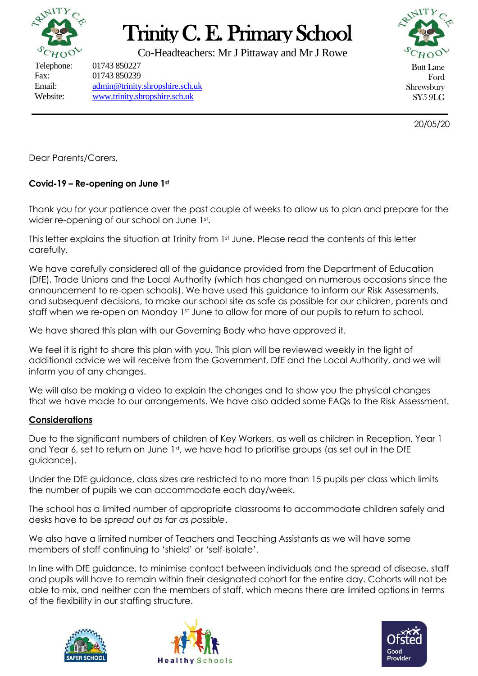

# Trinity C. E. Primary School

Co-Headteachers: Mr J Pittaway and Mr J Rowe

Telephone: 01743 850227

Fax: 01743 850239 Email: [admin@trinity.shropshire.sch.uk](mailto:admin@trinity.shropshire.sch.uk) Website: [www.trinity.shropshire.sch.uk](http://www.trinity.shropshire.sch.uk/)



Butt Lane Ford Shrewsbury SY5 9LG

20/05/20

Dear Parents/Carers,

# **Covid-19 – Re-opening on June 1st**

Thank you for your patience over the past couple of weeks to allow us to plan and prepare for the wider re-opening of our school on June 1st.

This letter explains the situation at Trinity from 1st June. Please read the contents of this letter carefully.

We have carefully considered all of the guidance provided from the Department of Education (DfE), Trade Unions and the Local Authority (which has changed on numerous occasions since the announcement to re-open schools). We have used this guidance to inform our Risk Assessments, and subsequent decisions, to make our school site as safe as possible for our children, parents and staff when we re-open on Monday 1st June to allow for more of our pupils to return to school.

We have shared this plan with our Governing Body who have approved it.

We feel it is right to share this plan with you. This plan will be reviewed weekly in the light of additional advice we will receive from the Government, DfE and the Local Authority, and we will inform you of any changes.

We will also be making a video to explain the changes and to show you the physical changes that we have made to our arrangements. We have also added some FAQs to the Risk Assessment.

# **Considerations**

Due to the significant numbers of children of Key Workers, as well as children in Reception, Year 1 and Year 6, set to return on June 1st, we have had to prioritise groups (as set out in the DfE guidance).

Under the DfE guidance, class sizes are restricted to no more than 15 pupils per class which limits the number of pupils we can accommodate each day/week.

The school has a limited number of appropriate classrooms to accommodate children safely and desks have to be *spread out as far as possible*.

We also have a limited number of Teachers and Teaching Assistants as we will have some members of staff continuing to 'shield' or 'self-isolate'.

In line with DfE guidance, to minimise contact between individuals and the spread of disease, staff and pupils will have to remain within their designated cohort for the entire day. Cohorts will not be able to mix, and neither can the members of staff, which means there are limited options in terms of the flexibility in our staffing structure.





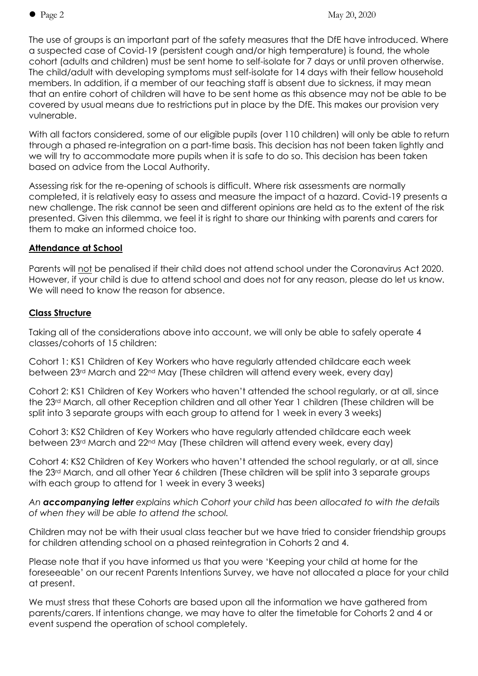The use of groups is an important part of the safety measures that the DfE have introduced. Where a suspected case of Covid-19 (persistent cough and/or high temperature) is found, the whole cohort (adults and children) must be sent home to self-isolate for 7 days or until proven otherwise. The child/adult with developing symptoms must self-isolate for 14 days with their fellow household members. In addition, if a member of our teaching staff is absent due to sickness, it may mean that an entire cohort of children will have to be sent home as this absence may not be able to be covered by usual means due to restrictions put in place by the DfE. This makes our provision very vulnerable.

With all factors considered, some of our eligible pupils (over 110 children) will only be able to return through a phased re-integration on a part-time basis. This decision has not been taken lightly and we will try to accommodate more pupils when it is safe to do so. This decision has been taken based on advice from the Local Authority.

Assessing risk for the re-opening of schools is difficult. Where risk assessments are normally completed, it is relatively easy to assess and measure the impact of a hazard. Covid-19 presents a new challenge. The risk cannot be seen and different opinions are held as to the extent of the risk presented. Given this dilemma, we feel it is right to share our thinking with parents and carers for them to make an informed choice too.

# **Attendance at School**

Parents will not be penalised if their child does not attend school under the Coronavirus Act 2020. However, if your child is due to attend school and does not for any reason, please do let us know. We will need to know the reason for absence.

# **Class Structure**

Taking all of the considerations above into account, we will only be able to safely operate 4 classes/cohorts of 15 children:

Cohort 1: KS1 Children of Key Workers who have regularly attended childcare each week between 23rd March and 22nd May (These children will attend every week, every day)

Cohort 2: KS1 Children of Key Workers who haven't attended the school regularly, or at all, since the 23rd March, all other Reception children and all other Year 1 children (These children will be split into 3 separate groups with each group to attend for 1 week in every 3 weeks)

Cohort 3: KS2 Children of Key Workers who have regularly attended childcare each week between 23rd March and 22nd May (These children will attend every week, every day)

Cohort 4: KS2 Children of Key Workers who haven't attended the school regularly, or at all, since the 23rd March, and all other Year 6 children (These children will be split into 3 separate groups with each group to attend for 1 week in every 3 weeks)

*An accompanying letter explains which Cohort your child has been allocated to with the details of when they will be able to attend the school.*

Children may not be with their usual class teacher but we have tried to consider friendship groups for children attending school on a phased reintegration in Cohorts 2 and 4.

Please note that if you have informed us that you were 'Keeping your child at home for the foreseeable' on our recent Parents Intentions Survey, we have not allocated a place for your child at present.

We must stress that these Cohorts are based upon all the information we have gathered from parents/carers. If intentions change, we may have to alter the timetable for Cohorts 2 and 4 or event suspend the operation of school completely.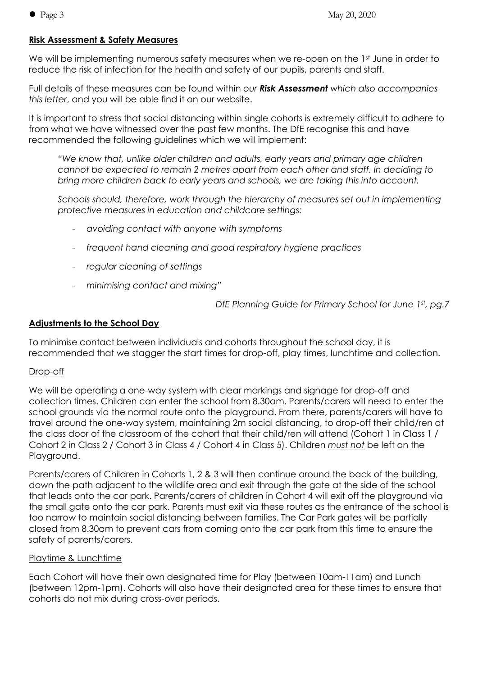#### **Risk Assessment & Safety Measures**

We will be implementing numerous safety measures when we re-open on the 1st June in order to reduce the risk of infection for the health and safety of our pupils, parents and staff.

Full details of these measures can be found within *our Risk Assessment which also accompanies this letter*, and you will be able find it on our website.

It is important to stress that social distancing within single cohorts is extremely difficult to adhere to from what we have witnessed over the past few months. The DfE recognise this and have recommended the following guidelines which we will implement:

*"We know that, unlike older children and adults, early years and primary age children cannot be expected to remain 2 metres apart from each other and staff. In deciding to bring more children back to early years and schools, we are taking this into account.*

*Schools should, therefore, work through the hierarchy of measures set out in implementing protective measures in education and childcare settings:*

- *avoiding contact with anyone with symptoms*
- *frequent hand cleaning and good respiratory hygiene practices*
- *regular cleaning of settings*
- *minimising contact and mixing"*

*DfE Planning Guide for Primary School for June 1st , pg.7*

## **Adjustments to the School Day**

To minimise contact between individuals and cohorts throughout the school day, it is recommended that we stagger the start times for drop-off, play times, lunchtime and collection.

#### Drop-off

We will be operating a one-way system with clear markings and signage for drop-off and collection times. Children can enter the school from 8.30am. Parents/carers will need to enter the school grounds via the normal route onto the playground. From there, parents/carers will have to travel around the one-way system, maintaining 2m social distancing, to drop-off their child/ren at the class door of the classroom of the cohort that their child/ren will attend (Cohort 1 in Class 1 / Cohort 2 in Class 2 / Cohort 3 in Class 4 / Cohort 4 in Class 5). Children *must not* be left on the Playground.

Parents/carers of Children in Cohorts 1, 2 & 3 will then continue around the back of the building, down the path adjacent to the wildlife area and exit through the gate at the side of the school that leads onto the car park. Parents/carers of children in Cohort 4 will exit off the playground via the small gate onto the car park. Parents must exit via these routes as the entrance of the school is too narrow to maintain social distancing between families. The Car Park gates will be partially closed from 8.30am to prevent cars from coming onto the car park from this time to ensure the safety of parents/carers.

#### Playtime & Lunchtime

Each Cohort will have their own designated time for Play (between 10am-11am) and Lunch (between 12pm-1pm). Cohorts will also have their designated area for these times to ensure that cohorts do not mix during cross-over periods.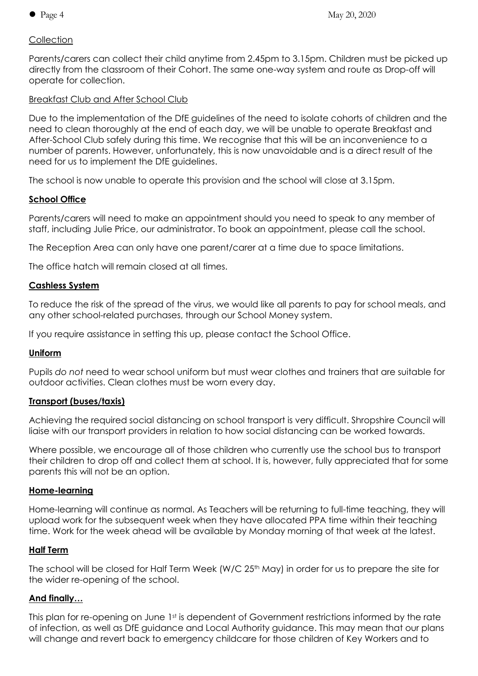## **Collection**

Parents/carers can collect their child anytime from 2.45pm to 3.15pm. Children must be picked up directly from the classroom of their Cohort. The same one-way system and route as Drop-off will operate for collection.

## Breakfast Club and After School Club

Due to the implementation of the DfE guidelines of the need to isolate cohorts of children and the need to clean thoroughly at the end of each day, we will be unable to operate Breakfast and After-School Club safely during this time. We recognise that this will be an inconvenience to a number of parents. However, unfortunately, this is now unavoidable and is a direct result of the need for us to implement the DfE guidelines.

The school is now unable to operate this provision and the school will close at 3.15pm.

## **School Office**

Parents/carers will need to make an appointment should you need to speak to any member of staff, including Julie Price, our administrator. To book an appointment, please call the school.

The Reception Area can only have one parent/carer at a time due to space limitations.

The office hatch will remain closed at all times.

## **Cashless System**

To reduce the risk of the spread of the virus, we would like all parents to pay for school meals, and any other school-related purchases, through our School Money system.

If you require assistance in setting this up, please contact the School Office.

#### **Uniform**

Pupils *do not* need to wear school uniform but must wear clothes and trainers that are suitable for outdoor activities. Clean clothes must be worn every day.

#### **Transport (buses/taxis)**

Achieving the required social distancing on school transport is very difficult. Shropshire Council will liaise with our transport providers in relation to how social distancing can be worked towards.

Where possible, we encourage all of those children who currently use the school bus to transport their children to drop off and collect them at school. It is, however, fully appreciated that for some parents this will not be an option.

## **Home-learning**

Home-learning will continue as normal. As Teachers will be returning to full-time teaching, they will upload work for the subsequent week when they have allocated PPA time within their teaching time. Work for the week ahead will be available by Monday morning of that week at the latest.

#### **Half Term**

The school will be closed for Half Term Week (W/C 25<sup>th</sup> May) in order for us to prepare the site for the wider re-opening of the school.

# **And finally…**

This plan for re-opening on June 1<sup>st</sup> is dependent of Government restrictions informed by the rate of infection, as well as DfE guidance and Local Authority guidance. This may mean that our plans will change and revert back to emergency childcare for those children of Key Workers and to